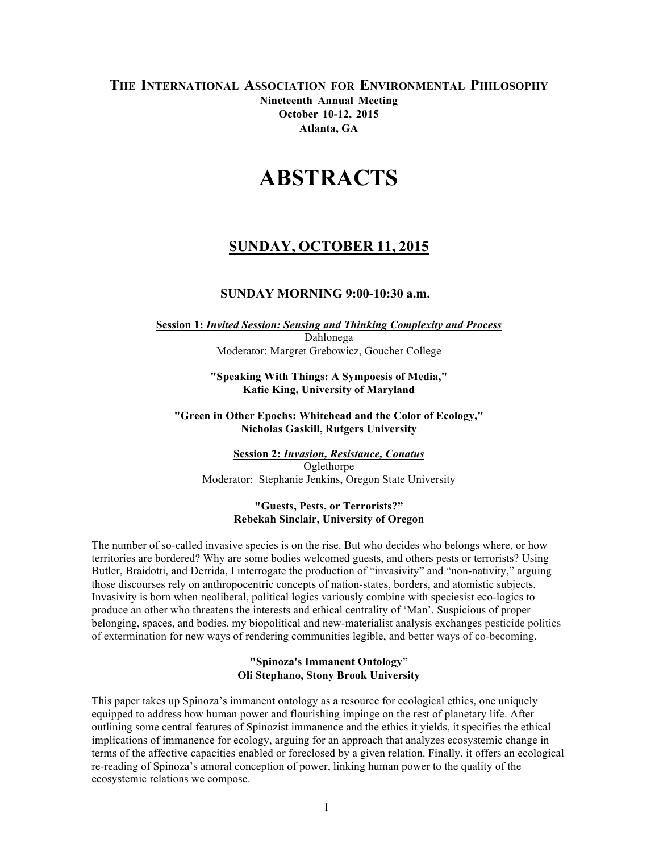# **THE INTERNATIONAL ASSOCIATION FOR ENVIRONMENTAL PHILOSOPHY Nineteenth Annual Meeting October 10-12, 2015 Atlanta, GA**

# **ABSTRACTS**

# **SUNDAY, OCTOBER 11, 2015**

# **SUNDAY MORNING 9:00-10:30 a.m.**

#### **Session 1:** *Invited Session: Sensing and Thinking Complexity and Process* Dahlonega Moderator: Margret Grebowicz, Goucher College

#### **"Speaking With Things: A Sympoesis of Media," Katie King, University of Maryland**

#### **"Green in Other Epochs: Whitehead and the Color of Ecology," Nicholas Gaskill, Rutgers University**

**Session 2:** *Invasion, Resistance, Conatus* Oglethorpe Moderator: Stephanie Jenkins, Oregon State University

#### **"Guests, Pests, or Terrorists?" Rebekah Sinclair, University of Oregon**

The number of so-called invasive species is on the rise. But who decides who belongs where, or how territories are bordered? Why are some bodies welcomed guests, and others pests or terrorists? Using Butler, Braidotti, and Derrida, I interrogate the production of "invasivity" and "non-nativity," arguing those discourses rely on anthropocentric concepts of nation-states, borders, and atomistic subjects. Invasivity is born when neoliberal, political logics variously combine with speciesist eco-logics to produce an other who threatens the interests and ethical centrality of 'Man'. Suspicious of proper belonging, spaces, and bodies, my biopolitical and new-materialist analysis exchanges pesticide politics of extermination for new ways of rendering communities legible, and better ways of co-becoming.

#### **"Spinoza's Immanent Ontology" Oli Stephano, Stony Brook University**

This paper takes up Spinoza's immanent ontology as a resource for ecological ethics, one uniquely equipped to address how human power and flourishing impinge on the rest of planetary life. After outlining some central features of Spinozist immanence and the ethics it yields, it specifies the ethical implications of immanence for ecology, arguing for an approach that analyzes ecosystemic change in terms of the affective capacities enabled or foreclosed by a given relation. Finally, it offers an ecological re-reading of Spinoza's amoral conception of power, linking human power to the quality of the ecosystemic relations we compose.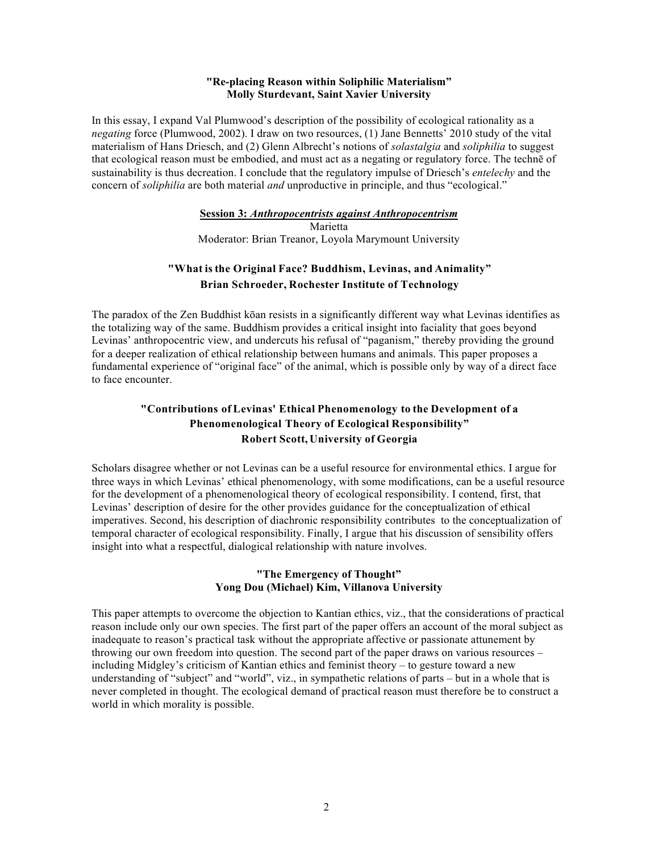#### **"Re-placing Reason within Soliphilic Materialism" Molly Sturdevant, Saint Xavier University**

In this essay, I expand Val Plumwood's description of the possibility of ecological rationality as a *negating* force (Plumwood, 2002). I draw on two resources, (1) Jane Bennetts' 2010 study of the vital materialism of Hans Driesch, and (2) Glenn Albrecht's notions of *solastalgia* and *soliphilia* to suggest that ecological reason must be embodied, and must act as a negating or regulatory force. The technē of sustainability is thus decreation. I conclude that the regulatory impulse of Driesch's *entelechy* and the concern of *soliphilia* are both material *and* unproductive in principle, and thus "ecological."

# **Session 3:** *Anthropocentrists against Anthropocentrism*

Marietta Moderator: Brian Treanor, Loyola Marymount University

# **"What is the Original Face? Buddhism, Levinas, and Animality" Brian Schroeder, Rochester Institute of Technology**

The paradox of the Zen Buddhist kōan resists in a significantly different way what Levinas identifies as the totalizing way of the same. Buddhism provides a critical insight into faciality that goes beyond Levinas' anthropocentric view, and undercuts his refusal of "paganism," thereby providing the ground for a deeper realization of ethical relationship between humans and animals. This paper proposes a fundamental experience of "original face" of the animal, which is possible only by way of a direct face to face encounter.

# **"Contributions of Levinas' Ethical Phenomenology to the Development of a Phenomenological Theory of Ecological Responsibility" Robert Scott, University of Georgia**

Scholars disagree whether or not Levinas can be a useful resource for environmental ethics. I argue for three ways in which Levinas' ethical phenomenology, with some modifications, can be a useful resource for the development of a phenomenological theory of ecological responsibility. I contend, first, that Levinas' description of desire for the other provides guidance for the conceptualization of ethical imperatives. Second, his description of diachronic responsibility contributes to the conceptualization of temporal character of ecological responsibility. Finally, I argue that his discussion of sensibility offers insight into what a respectful, dialogical relationship with nature involves.

# **"The Emergency of Thought" Yong Dou (Michael) Kim, Villanova University**

This paper attempts to overcome the objection to Kantian ethics, viz., that the considerations of practical reason include only our own species. The first part of the paper offers an account of the moral subject as inadequate to reason's practical task without the appropriate affective or passionate attunement by throwing our own freedom into question. The second part of the paper draws on various resources – including Midgley's criticism of Kantian ethics and feminist theory – to gesture toward a new understanding of "subject" and "world", viz., in sympathetic relations of parts – but in a whole that is never completed in thought. The ecological demand of practical reason must therefore be to construct a world in which morality is possible.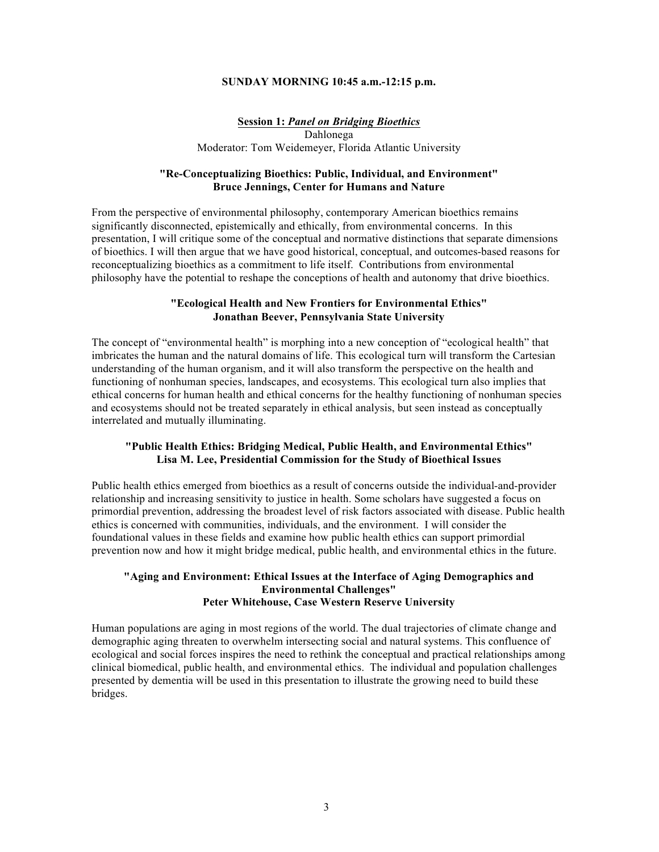#### **SUNDAY MORNING 10:45 a.m.-12:15 p.m.**

#### **Session 1:** *Panel on Bridging Bioethics*

Dahlonega Moderator: Tom Weidemeyer, Florida Atlantic University

#### **"Re-Conceptualizing Bioethics: Public, Individual, and Environment" Bruce Jennings, Center for Humans and Nature**

From the perspective of environmental philosophy, contemporary American bioethics remains significantly disconnected, epistemically and ethically, from environmental concerns. In this presentation, I will critique some of the conceptual and normative distinctions that separate dimensions of bioethics. I will then argue that we have good historical, conceptual, and outcomes-based reasons for reconceptualizing bioethics as a commitment to life itself. Contributions from environmental philosophy have the potential to reshape the conceptions of health and autonomy that drive bioethics.

#### **"Ecological Health and New Frontiers for Environmental Ethics" Jonathan Beever, Pennsylvania State University**

The concept of "environmental health" is morphing into a new conception of "ecological health" that imbricates the human and the natural domains of life. This ecological turn will transform the Cartesian understanding of the human organism, and it will also transform the perspective on the health and functioning of nonhuman species, landscapes, and ecosystems. This ecological turn also implies that ethical concerns for human health and ethical concerns for the healthy functioning of nonhuman species and ecosystems should not be treated separately in ethical analysis, but seen instead as conceptually interrelated and mutually illuminating.

#### **"Public Health Ethics: Bridging Medical, Public Health, and Environmental Ethics" Lisa M. Lee, Presidential Commission for the Study of Bioethical Issues**

Public health ethics emerged from bioethics as a result of concerns outside the individual-and-provider relationship and increasing sensitivity to justice in health. Some scholars have suggested a focus on primordial prevention, addressing the broadest level of risk factors associated with disease. Public health ethics is concerned with communities, individuals, and the environment. I will consider the foundational values in these fields and examine how public health ethics can support primordial prevention now and how it might bridge medical, public health, and environmental ethics in the future.

#### **"Aging and Environment: Ethical Issues at the Interface of Aging Demographics and Environmental Challenges" Peter Whitehouse, Case Western Reserve University**

Human populations are aging in most regions of the world. The dual trajectories of climate change and demographic aging threaten to overwhelm intersecting social and natural systems. This confluence of ecological and social forces inspires the need to rethink the conceptual and practical relationships among clinical biomedical, public health, and environmental ethics. The individual and population challenges presented by dementia will be used in this presentation to illustrate the growing need to build these bridges.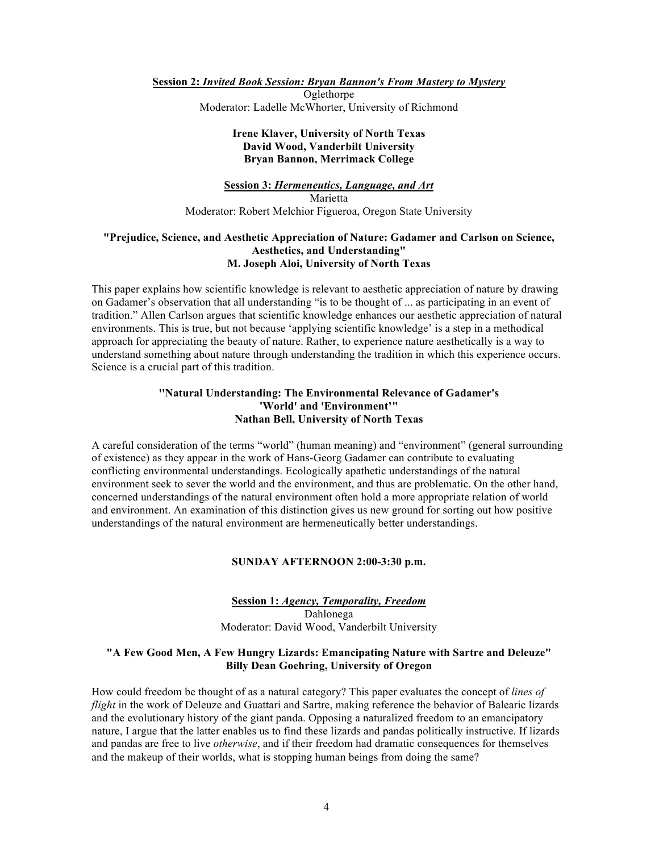**Session 2:** *Invited Book Session: Bryan Bannon's From Mastery to Mystery*

Oglethorpe Moderator: Ladelle McWhorter, University of Richmond

#### **Irene Klaver, University of North Texas David Wood, Vanderbilt University Bryan Bannon, Merrimack College**

# **Session 3:** *Hermeneutics, Language, and Art* Marietta Moderator: Robert Melchior Figueroa, Oregon State University

#### **"Prejudice, Science, and Aesthetic Appreciation of Nature: Gadamer and Carlson on Science, Aesthetics, and Understanding" M. Joseph Aloi, University of North Texas**

This paper explains how scientific knowledge is relevant to aesthetic appreciation of nature by drawing on Gadamer's observation that all understanding "is to be thought of ... as participating in an event of tradition." Allen Carlson argues that scientific knowledge enhances our aesthetic appreciation of natural environments. This is true, but not because 'applying scientific knowledge' is a step in a methodical approach for appreciating the beauty of nature. Rather, to experience nature aesthetically is a way to understand something about nature through understanding the tradition in which this experience occurs. Science is a crucial part of this tradition.

#### **''Natural Understanding: The Environmental Relevance of Gadamer's 'World' and 'Environment'" Nathan Bell, University of North Texas**

A careful consideration of the terms "world" (human meaning) and "environment" (general surrounding of existence) as they appear in the work of Hans-Georg Gadamer can contribute to evaluating conflicting environmental understandings. Ecologically apathetic understandings of the natural environment seek to sever the world and the environment, and thus are problematic. On the other hand, concerned understandings of the natural environment often hold a more appropriate relation of world and environment. An examination of this distinction gives us new ground for sorting out how positive understandings of the natural environment are hermeneutically better understandings.

# **SUNDAY AFTERNOON 2:00-3:30 p.m.**

#### **Session 1:** *Agency, Temporality, Freedom* Dahlonega Moderator: David Wood, Vanderbilt University

# **"A Few Good Men, A Few Hungry Lizards: Emancipating Nature with Sartre and Deleuze" Billy Dean Goehring, University of Oregon**

How could freedom be thought of as a natural category? This paper evaluates the concept of *lines of flight* in the work of Deleuze and Guattari and Sartre, making reference the behavior of Balearic lizards and the evolutionary history of the giant panda. Opposing a naturalized freedom to an emancipatory nature, I argue that the latter enables us to find these lizards and pandas politically instructive. If lizards and pandas are free to live *otherwise*, and if their freedom had dramatic consequences for themselves and the makeup of their worlds, what is stopping human beings from doing the same?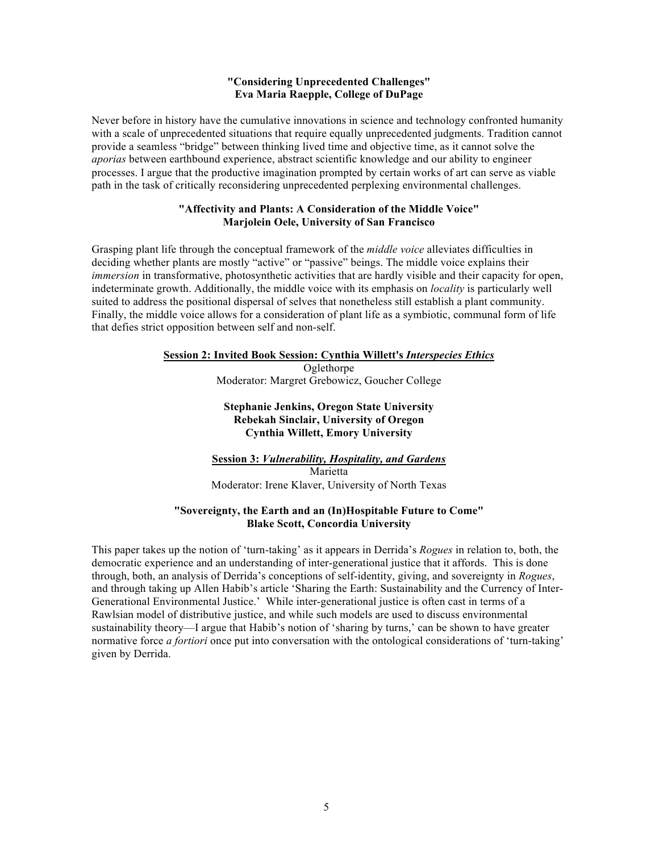#### **"Considering Unprecedented Challenges" Eva Maria Raepple, College of DuPage**

Never before in history have the cumulative innovations in science and technology confronted humanity with a scale of unprecedented situations that require equally unprecedented judgments. Tradition cannot provide a seamless "bridge" between thinking lived time and objective time, as it cannot solve the *aporias* between earthbound experience, abstract scientific knowledge and our ability to engineer processes. I argue that the productive imagination prompted by certain works of art can serve as viable path in the task of critically reconsidering unprecedented perplexing environmental challenges.

#### **"Affectivity and Plants: A Consideration of the Middle Voice" Marjolein Oele, University of San Francisco**

Grasping plant life through the conceptual framework of the *middle voice* alleviates difficulties in deciding whether plants are mostly "active" or "passive" beings. The middle voice explains their *immersion* in transformative, photosynthetic activities that are hardly visible and their capacity for open, indeterminate growth. Additionally, the middle voice with its emphasis on *locality* is particularly well suited to address the positional dispersal of selves that nonetheless still establish a plant community. Finally, the middle voice allows for a consideration of plant life as a symbiotic, communal form of life that defies strict opposition between self and non-self.

# **Session 2: Invited Book Session: Cynthia Willett's** *Interspecies Ethics*

**Oglethorpe** Moderator: Margret Grebowicz, Goucher College

#### **Stephanie Jenkins, Oregon State University Rebekah Sinclair, University of Oregon Cynthia Willett, Emory University**

# **Session 3:** *Vulnerability, Hospitality, and Gardens* Marietta Moderator: Irene Klaver, University of North Texas

# **"Sovereignty, the Earth and an (In)Hospitable Future to Come" Blake Scott, Concordia University**

This paper takes up the notion of 'turn-taking' as it appears in Derrida's *Rogues* in relation to, both, the democratic experience and an understanding of inter-generational justice that it affords. This is done through, both, an analysis of Derrida's conceptions of self-identity, giving, and sovereignty in *Rogues*, and through taking up Allen Habib's article 'Sharing the Earth: Sustainability and the Currency of Inter-Generational Environmental Justice.' While inter-generational justice is often cast in terms of a Rawlsian model of distributive justice, and while such models are used to discuss environmental sustainability theory—I argue that Habib's notion of 'sharing by turns,' can be shown to have greater normative force *a fortiori* once put into conversation with the ontological considerations of 'turn-taking' given by Derrida.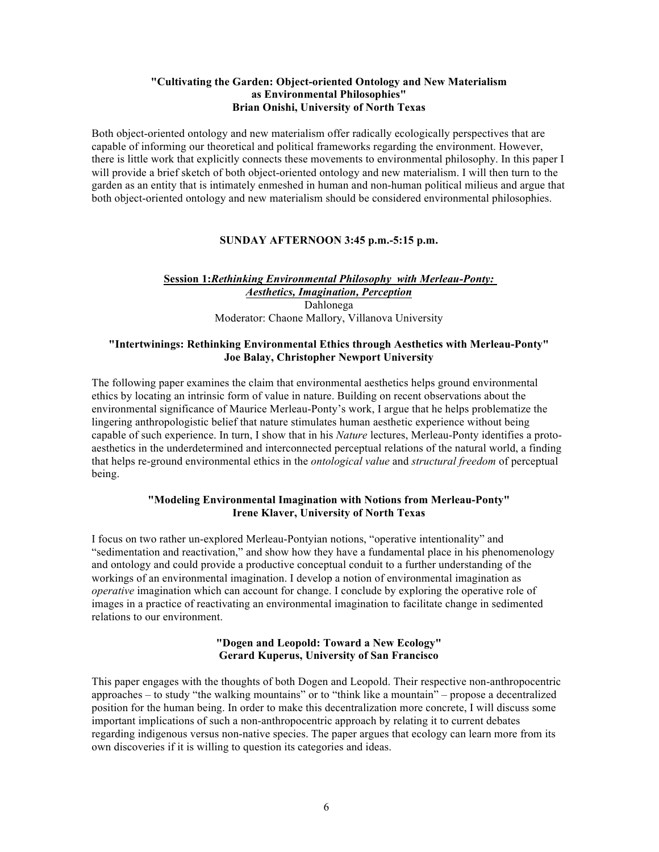# **"Cultivating the Garden: Object-oriented Ontology and New Materialism as Environmental Philosophies" Brian Onishi, University of North Texas**

Both object-oriented ontology and new materialism offer radically ecologically perspectives that are capable of informing our theoretical and political frameworks regarding the environment. However, there is little work that explicitly connects these movements to environmental philosophy. In this paper I will provide a brief sketch of both object-oriented ontology and new materialism. I will then turn to the garden as an entity that is intimately enmeshed in human and non-human political milieus and argue that both object-oriented ontology and new materialism should be considered environmental philosophies.

# **SUNDAY AFTERNOON 3:45 p.m.-5:15 p.m.**

# **Session 1:***Rethinking Environmental Philosophy with Merleau-Ponty: Aesthetics, Imagination, Perception* Dahlonega Moderator: Chaone Mallory, Villanova University

#### **"Intertwinings: Rethinking Environmental Ethics through Aesthetics with Merleau-Ponty" Joe Balay, Christopher Newport University**

The following paper examines the claim that environmental aesthetics helps ground environmental ethics by locating an intrinsic form of value in nature. Building on recent observations about the environmental significance of Maurice Merleau-Ponty's work, I argue that he helps problematize the lingering anthropologistic belief that nature stimulates human aesthetic experience without being capable of such experience. In turn, I show that in his *Nature* lectures, Merleau-Ponty identifies a protoaesthetics in the underdetermined and interconnected perceptual relations of the natural world, a finding that helps re-ground environmental ethics in the *ontological value* and *structural freedom* of perceptual being.

# **"Modeling Environmental Imagination with Notions from Merleau-Ponty" Irene Klaver, University of North Texas**

I focus on two rather un-explored Merleau-Pontyian notions, "operative intentionality" and "sedimentation and reactivation," and show how they have a fundamental place in his phenomenology and ontology and could provide a productive conceptual conduit to a further understanding of the workings of an environmental imagination. I develop a notion of environmental imagination as *operative* imagination which can account for change. I conclude by exploring the operative role of images in a practice of reactivating an environmental imagination to facilitate change in sedimented relations to our environment.

# **"Dogen and Leopold: Toward a New Ecology" Gerard Kuperus, University of San Francisco**

This paper engages with the thoughts of both Dogen and Leopold. Their respective non-anthropocentric approaches – to study "the walking mountains" or to "think like a mountain" – propose a decentralized position for the human being. In order to make this decentralization more concrete, I will discuss some important implications of such a non-anthropocentric approach by relating it to current debates regarding indigenous versus non-native species. The paper argues that ecology can learn more from its own discoveries if it is willing to question its categories and ideas.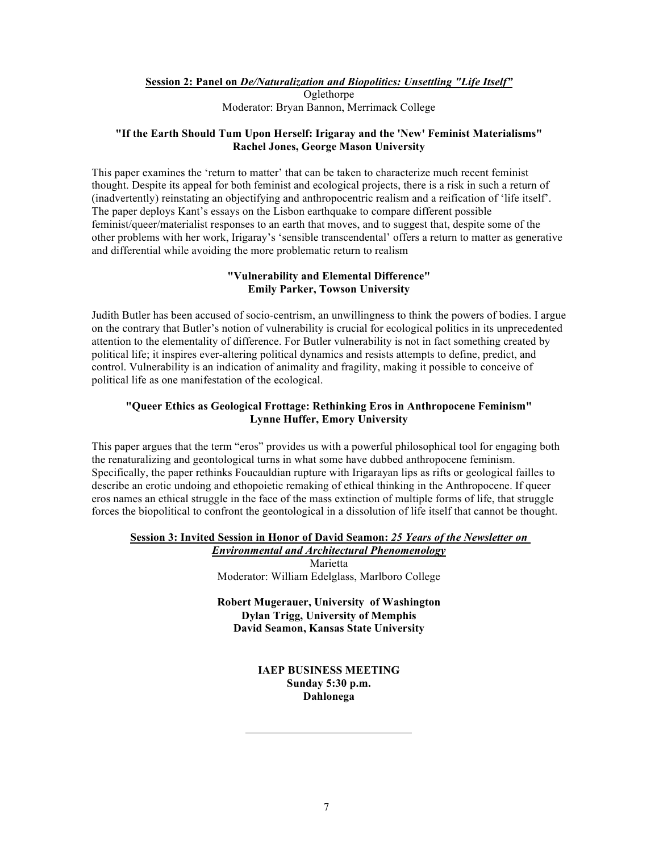**Session 2: Panel on** *De/Naturalization and Biopolitics: Unsettling "Life Itself"*

Oglethorpe Moderator: Bryan Bannon, Merrimack College

# **"If the Earth Should Tum Upon Herself: Irigaray and the 'New' Feminist Materialisms" Rachel Jones, George Mason University**

This paper examines the 'return to matter' that can be taken to characterize much recent feminist thought. Despite its appeal for both feminist and ecological projects, there is a risk in such a return of (inadvertently) reinstating an objectifying and anthropocentric realism and a reification of 'life itself'. The paper deploys Kant's essays on the Lisbon earthquake to compare different possible feminist/queer/materialist responses to an earth that moves, and to suggest that, despite some of the other problems with her work, Irigaray's 'sensible transcendental' offers a return to matter as generative and differential while avoiding the more problematic return to realism

# **"Vulnerability and Elemental Difference" Emily Parker, Towson University**

Judith Butler has been accused of socio-centrism, an unwillingness to think the powers of bodies. I argue on the contrary that Butler's notion of vulnerability is crucial for ecological politics in its unprecedented attention to the elementality of difference. For Butler vulnerability is not in fact something created by political life; it inspires ever-altering political dynamics and resists attempts to define, predict, and control. Vulnerability is an indication of animality and fragility, making it possible to conceive of political life as one manifestation of the ecological.

# **"Queer Ethics as Geological Frottage: Rethinking Eros in Anthropocene Feminism" Lynne Huffer, Emory University**

This paper argues that the term "eros" provides us with a powerful philosophical tool for engaging both the renaturalizing and geontological turns in what some have dubbed anthropocene feminism. Specifically, the paper rethinks Foucauldian rupture with Irigarayan lips as rifts or geological failles to describe an erotic undoing and ethopoietic remaking of ethical thinking in the Anthropocene. If queer eros names an ethical struggle in the face of the mass extinction of multiple forms of life, that struggle forces the biopolitical to confront the geontological in a dissolution of life itself that cannot be thought.

# **Session 3: Invited Session in Honor of David Seamon:** *25 Years of the Newsletter on*

*Environmental and Architectural Phenomenology* Marietta Moderator: William Edelglass, Marlboro College

**Robert Mugerauer, University of Washington Dylan Trigg, University of Memphis David Seamon, Kansas State University**

# **IAEP BUSINESS MEETING Sunday 5:30 p.m. Dahlonega**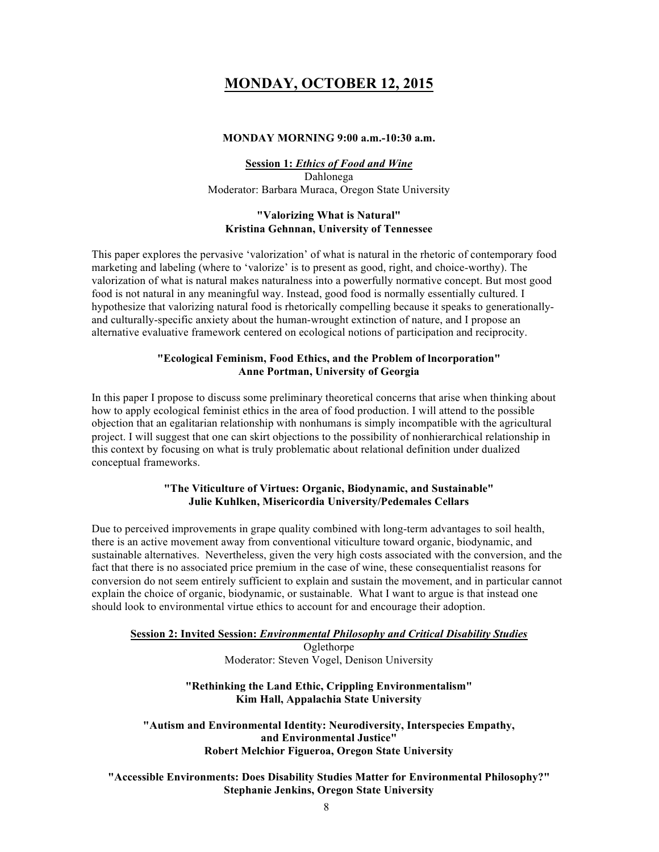# **MONDAY, OCTOBER 12, 2015**

# **MONDAY MORNING 9:00 a.m.-10:30 a.m.**

**Session 1:** *Ethics of Food and Wine* Dahlonega Moderator: Barbara Muraca, Oregon State University

# **"Valorizing What is Natural" Kristina Gehnnan, University of Tennessee**

This paper explores the pervasive 'valorization' of what is natural in the rhetoric of contemporary food marketing and labeling (where to 'valorize' is to present as good, right, and choice-worthy). The valorization of what is natural makes naturalness into a powerfully normative concept. But most good food is not natural in any meaningful way. Instead, good food is normally essentially cultured. I hypothesize that valorizing natural food is rhetorically compelling because it speaks to generationallyand culturally-specific anxiety about the human-wrought extinction of nature, and I propose an alternative evaluative framework centered on ecological notions of participation and reciprocity.

# **"Ecological Feminism, Food Ethics, and the Problem of lncorporation" Anne Portman, University of Georgia**

In this paper I propose to discuss some preliminary theoretical concerns that arise when thinking about how to apply ecological feminist ethics in the area of food production. I will attend to the possible objection that an egalitarian relationship with nonhumans is simply incompatible with the agricultural project. I will suggest that one can skirt objections to the possibility of nonhierarchical relationship in this context by focusing on what is truly problematic about relational definition under dualized conceptual frameworks.

#### **"The Viticulture of Virtues: Organic, Biodynamic, and Sustainable" Julie Kuhlken, Misericordia University/Pedemales Cellars**

Due to perceived improvements in grape quality combined with long-term advantages to soil health, there is an active movement away from conventional viticulture toward organic, biodynamic, and sustainable alternatives. Nevertheless, given the very high costs associated with the conversion, and the fact that there is no associated price premium in the case of wine, these consequentialist reasons for conversion do not seem entirely sufficient to explain and sustain the movement, and in particular cannot explain the choice of organic, biodynamic, or sustainable. What I want to argue is that instead one should look to environmental virtue ethics to account for and encourage their adoption.

#### **Session 2: Invited Session:** *Environmental Philosophy and Critical Disability Studies*

Oglethorpe Moderator: Steven Vogel, Denison University

# **"Rethinking the Land Ethic, Crippling Environmentalism" Kim Hall, Appalachia State University**

**"Autism and Environmental Identity: Neurodiversity, Interspecies Empathy, and Environmental Justice" Robert Melchior Figueroa, Oregon State University**

**"Accessible Environments: Does Disability Studies Matter for Environmental Philosophy?" Stephanie Jenkins, Oregon State University**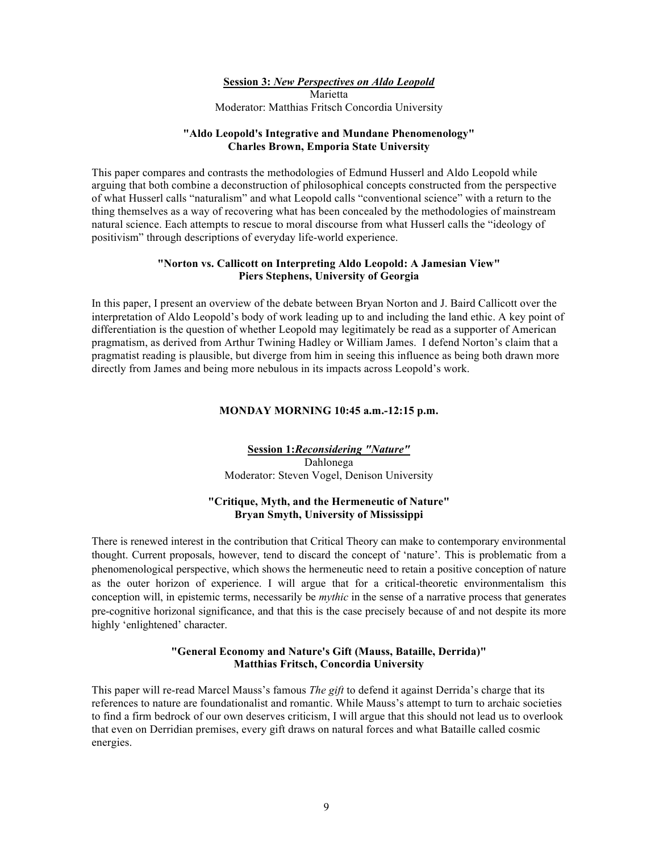**Session 3:** *New Perspectives on Aldo Leopold*

Marietta Moderator: Matthias Fritsch Concordia University

#### **"Aldo Leopold's Integrative and Mundane Phenomenology" Charles Brown, Emporia State University**

This paper compares and contrasts the methodologies of Edmund Husserl and Aldo Leopold while arguing that both combine a deconstruction of philosophical concepts constructed from the perspective of what Husserl calls "naturalism" and what Leopold calls "conventional science" with a return to the thing themselves as a way of recovering what has been concealed by the methodologies of mainstream natural science. Each attempts to rescue to moral discourse from what Husserl calls the "ideology of positivism" through descriptions of everyday life-world experience.

# **"Norton vs. Callicott on Interpreting Aldo Leopold: A Jamesian View" Piers Stephens, University of Georgia**

In this paper, I present an overview of the debate between Bryan Norton and J. Baird Callicott over the interpretation of Aldo Leopold's body of work leading up to and including the land ethic. A key point of differentiation is the question of whether Leopold may legitimately be read as a supporter of American pragmatism, as derived from Arthur Twining Hadley or William James. I defend Norton's claim that a pragmatist reading is plausible, but diverge from him in seeing this influence as being both drawn more directly from James and being more nebulous in its impacts across Leopold's work.

# **MONDAY MORNING 10:45 a.m.-12:15 p.m.**

**Session 1:***Reconsidering "Nature"* Dahlonega Moderator: Steven Vogel, Denison University

# **"Critique, Myth, and the Hermeneutic of Nature" Bryan Smyth, University of Mississippi**

There is renewed interest in the contribution that Critical Theory can make to contemporary environmental thought. Current proposals, however, tend to discard the concept of 'nature'. This is problematic from a phenomenological perspective, which shows the hermeneutic need to retain a positive conception of nature as the outer horizon of experience. I will argue that for a critical-theoretic environmentalism this conception will, in epistemic terms, necessarily be *mythic* in the sense of a narrative process that generates pre-cognitive horizonal significance, and that this is the case precisely because of and not despite its more highly 'enlightened' character.

# **"General Economy and Nature's Gift (Mauss, Bataille, Derrida)" Matthias Fritsch, Concordia University**

This paper will re-read Marcel Mauss's famous *The gift* to defend it against Derrida's charge that its references to nature are foundationalist and romantic. While Mauss's attempt to turn to archaic societies to find a firm bedrock of our own deserves criticism, I will argue that this should not lead us to overlook that even on Derridian premises, every gift draws on natural forces and what Bataille called cosmic energies.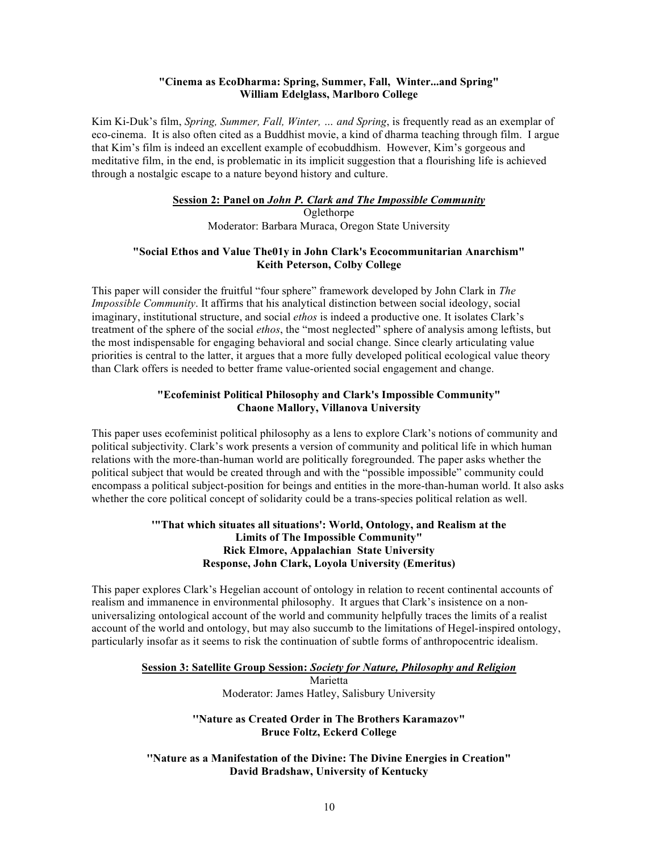# **"Cinema as EcoDharma: Spring, Summer, Fall, Winter...and Spring" William Edelglass, Marlboro College**

Kim Ki-Duk's film, *Spring, Summer, Fall, Winter, … and Spring*, is frequently read as an exemplar of eco-cinema. It is also often cited as a Buddhist movie, a kind of dharma teaching through film. I argue that Kim's film is indeed an excellent example of ecobuddhism. However, Kim's gorgeous and meditative film, in the end, is problematic in its implicit suggestion that a flourishing life is achieved through a nostalgic escape to a nature beyond history and culture.

# **Session 2: Panel on** *John P. Clark and The Impossible Community*

**Oglethorpe** Moderator: Barbara Muraca, Oregon State University

#### **"Social Ethos and Value The01y in John Clark's Ecocommunitarian Anarchism" Keith Peterson, Colby College**

This paper will consider the fruitful "four sphere" framework developed by John Clark in *The Impossible Community*. It affirms that his analytical distinction between social ideology, social imaginary, institutional structure, and social *ethos* is indeed a productive one. It isolates Clark's treatment of the sphere of the social *ethos*, the "most neglected" sphere of analysis among leftists, but the most indispensable for engaging behavioral and social change. Since clearly articulating value priorities is central to the latter, it argues that a more fully developed political ecological value theory than Clark offers is needed to better frame value-oriented social engagement and change.

#### **"Ecofeminist Political Philosophy and Clark's Impossible Community" Chaone Mallory, Villanova University**

This paper uses ecofeminist political philosophy as a lens to explore Clark's notions of community and political subjectivity. Clark's work presents a version of community and political life in which human relations with the more-than-human world are politically foregrounded. The paper asks whether the political subject that would be created through and with the "possible impossible" community could encompass a political subject-position for beings and entities in the more-than-human world. It also asks whether the core political concept of solidarity could be a trans-species political relation as well.

# **'"That which situates all situations': World, Ontology, and Realism at the Limits of The Impossible Community" Rick Elmore, Appalachian State University Response, John Clark, Loyola University (Emeritus)**

This paper explores Clark's Hegelian account of ontology in relation to recent continental accounts of realism and immanence in environmental philosophy. It argues that Clark's insistence on a nonuniversalizing ontological account of the world and community helpfully traces the limits of a realist account of the world and ontology, but may also succumb to the limitations of Hegel-inspired ontology, particularly insofar as it seems to risk the continuation of subtle forms of anthropocentric idealism.

#### **Session 3: Satellite Group Session:** *Society for Nature, Philosophy and Religion*

Marietta Moderator: James Hatley, Salisbury University

#### **''Nature as Created Order in The Brothers Karamazov" Bruce Foltz, Eckerd College**

**''Nature as a Manifestation of the Divine: The Divine Energies in Creation" David Bradshaw, University of Kentucky**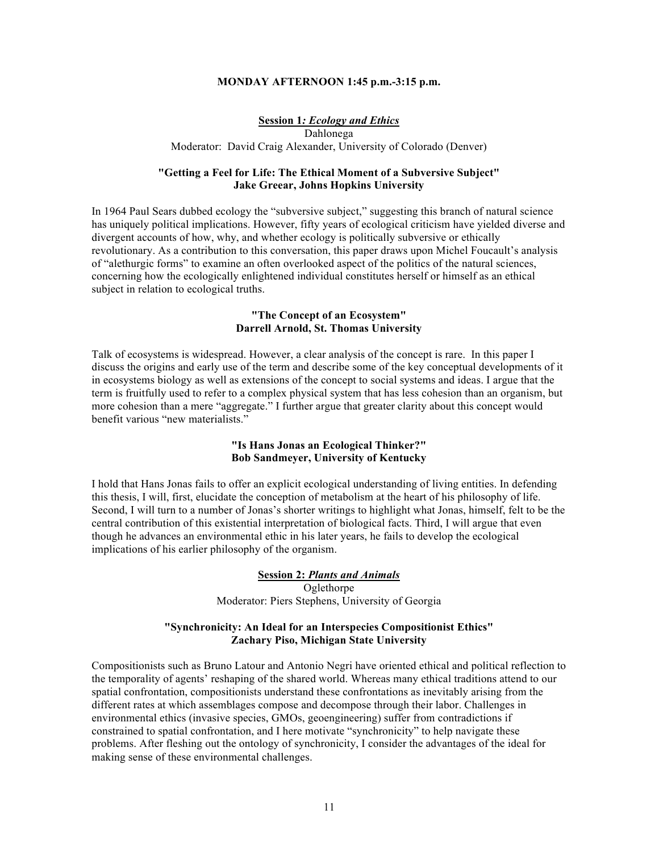#### **MONDAY AFTERNOON 1:45 p.m.-3:15 p.m.**

# **Session 1***: Ecology and Ethics*

Dahlonega Moderator: David Craig Alexander, University of Colorado (Denver)

#### **"Getting a Feel for Life: The Ethical Moment of a Subversive Subject" Jake Greear, Johns Hopkins University**

In 1964 Paul Sears dubbed ecology the "subversive subject," suggesting this branch of natural science has uniquely political implications. However, fifty years of ecological criticism have yielded diverse and divergent accounts of how, why, and whether ecology is politically subversive or ethically revolutionary. As a contribution to this conversation, this paper draws upon Michel Foucault's analysis of "alethurgic forms" to examine an often overlooked aspect of the politics of the natural sciences, concerning how the ecologically enlightened individual constitutes herself or himself as an ethical subject in relation to ecological truths.

#### **"The Concept of an Ecosystem" Darrell Arnold, St. Thomas University**

Talk of ecosystems is widespread. However, a clear analysis of the concept is rare. In this paper I discuss the origins and early use of the term and describe some of the key conceptual developments of it in ecosystems biology as well as extensions of the concept to social systems and ideas. I argue that the term is fruitfully used to refer to a complex physical system that has less cohesion than an organism, but more cohesion than a mere "aggregate." I further argue that greater clarity about this concept would benefit various "new materialists."

#### **"Is Hans Jonas an Ecological Thinker?" Bob Sandmeyer, University of Kentucky**

I hold that Hans Jonas fails to offer an explicit ecological understanding of living entities. In defending this thesis, I will, first, elucidate the conception of metabolism at the heart of his philosophy of life. Second, I will turn to a number of Jonas's shorter writings to highlight what Jonas, himself, felt to be the central contribution of this existential interpretation of biological facts. Third, I will argue that even though he advances an environmental ethic in his later years, he fails to develop the ecological implications of his earlier philosophy of the organism.

#### **Session 2:** *Plants and Animals* **Oglethorpe** Moderator: Piers Stephens, University of Georgia

# **"Synchronicity: An Ideal for an Interspecies Compositionist Ethics" Zachary Piso, Michigan State University**

Compositionists such as Bruno Latour and Antonio Negri have oriented ethical and political reflection to the temporality of agents' reshaping of the shared world. Whereas many ethical traditions attend to our spatial confrontation, compositionists understand these confrontations as inevitably arising from the different rates at which assemblages compose and decompose through their labor. Challenges in environmental ethics (invasive species, GMOs, geoengineering) suffer from contradictions if constrained to spatial confrontation, and I here motivate "synchronicity" to help navigate these problems. After fleshing out the ontology of synchronicity, I consider the advantages of the ideal for making sense of these environmental challenges.